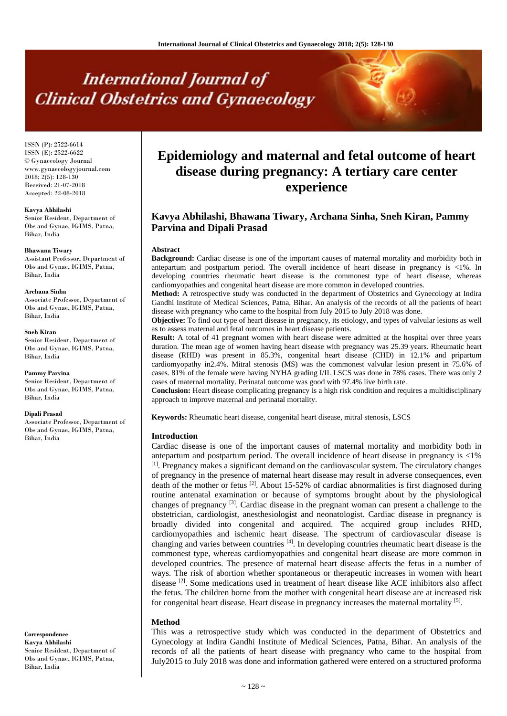# **International Journal of Clinical Obstetrics and Gynaecology**

ISSN (P): 2522-6614 ISSN (E): 2522-6622 © Gynaecology Journal www.gynaecologyjournal.com  $2018$ ;  $2(5)$ ; 128-130 Received: 21-07-2018 Accepted: 22-08-2018

#### **Kavya Abhilashi**

Senior Resident, Department of Obs and Gynae, IGIMS, Patna, Bihar, India

#### **Bhawana Tiwary**

Assistant Professor, Department of Obs and Gynae, IGIMS, Patna, Bihar, India

#### **Archana Sinha**

Associate Professor, Department of Obs and Gynae, IGIMS, Patna, Bihar, India

#### **Sneh Kiran**

Senior Resident, Department of Obs and Gynae, IGIMS, Patna, Bihar, India

**Pammy Parvina** Senior Resident, Department of Obs and Gynae, IGIMS, Patna, Bihar, India

#### **Dipali Prasad**

Associate Professor, Department of Obs and Gynae, IGIMS, Patna, Bihar, India

**Correspondence Kavya Abhilashi** Senior Resident, Department of Obs and Gynae, IGIMS, Patna, Bihar, India

# **Epidemiology and maternal and fetal outcome of heart disease during pregnancy: A tertiary care center experience**

# **Kavya Abhilashi, Bhawana Tiwary, Archana Sinha, Sneh Kiran, Pammy Parvina and Dipali Prasad**

#### **Abstract**

**Background:** Cardiac disease is one of the important causes of maternal mortality and morbidity both in antepartum and postpartum period. The overall incidence of heart disease in pregnancy is <1%. In developing countries rheumatic heart disease is the commonest type of heart disease, whereas cardiomyopathies and congenital heart disease are more common in developed countries.

**Method:** A retrospective study was conducted in the department of Obstetrics and Gynecology at Indira Gandhi Institute of Medical Sciences, Patna, Bihar. An analysis of the records of all the patients of heart disease with pregnancy who came to the hospital from July 2015 to July 2018 was done.

**Objective:** To find out type of heart disease in pregnancy, its etiology, and types of valvular lesions as well as to assess maternal and fetal outcomes in heart disease patients.

**Result:** A total of 41 pregnant women with heart disease were admitted at the hospital over three years duration. The mean age of women having heart disease with pregnancy was 25.39 years. Rheumatic heart disease (RHD) was present in 85.3%, congenital heart disease (CHD) in 12.1% and pripartum cardiomyopathy in2.4%. Mitral stenosis (MS) was the commonest valvular lesion present in 75.6% of cases. 81% of the female were having NYHA grading I/II. LSCS was done in 78% cases. There was only 2 cases of maternal mortality. Perinatal outcome was good with 97.4% live birth rate.

**Conclusion:** Heart disease complicating pregnancy is a high risk condition and requires a multidisciplinary approach to improve maternal and perinatal mortality.

**Keywords:** Rheumatic heart disease, congenital heart disease, mitral stenosis, LSCS

#### **Introduction**

Cardiac disease is one of the important causes of maternal mortality and morbidity both in antepartum and postpartum period. The overall incidence of heart disease in pregnancy is <1%  $<sup>[1]</sup>$ . Pregnancy makes a significant demand on the cardiovascular system. The circulatory changes</sup> of pregnancy in the presence of maternal heart disease may result in adverse consequences, even death of the mother or fetus <sup>[2]</sup>. About 15-52% of cardiac abnormalities is first diagnosed during routine antenatal examination or because of symptoms brought about by the physiological changes of pregnancy [3]. Cardiac disease in the pregnant woman can present a challenge to the obstetrician, cardiologist, anesthesiologist and neonatologist. Cardiac disease in pregnancy is broadly divided into congenital and acquired. The acquired group includes RHD, cardiomyopathies and ischemic heart disease. The spectrum of cardiovascular disease is changing and varies between countries [4]. In developing countries rheumatic heart disease is the commonest type, whereas cardiomyopathies and congenital heart disease are more common in developed countries. The presence of maternal heart disease affects the fetus in a number of ways. The risk of abortion whether spontaneous or therapeutic increases in women with heart disease [2]. Some medications used in treatment of heart disease like ACE inhibitors also affect the fetus. The children borne from the mother with congenital heart disease are at increased risk for congenital heart disease. Heart disease in pregnancy increases the maternal mortality [5].

# **Method**

This was a retrospective study which was conducted in the department of Obstetrics and Gynecology at Indira Gandhi Institute of Medical Sciences, Patna, Bihar. An analysis of the records of all the patients of heart disease with pregnancy who came to the hospital from July2015 to July 2018 was done and information gathered were entered on a structured proforma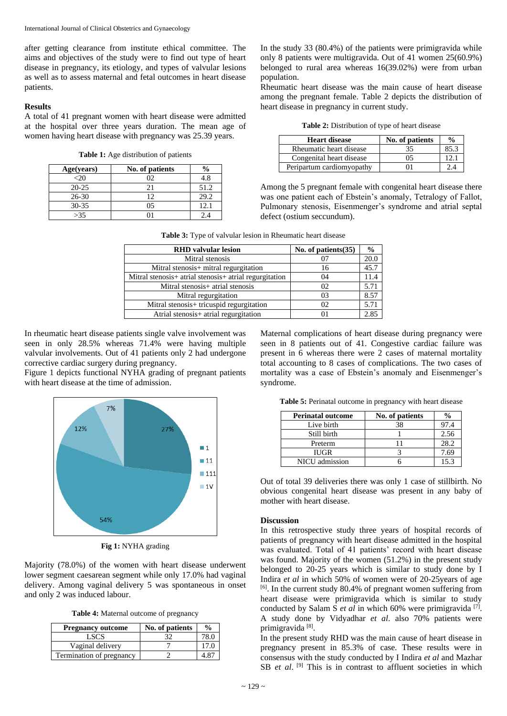after getting clearance from institute ethical committee. The aims and objectives of the study were to find out type of heart disease in pregnancy, its etiology, and types of valvular lesions as well as to assess maternal and fetal outcomes in heart disease patients.

## **Results**

A total of 41 pregnant women with heart disease were admitted at the hospital over three years duration. The mean age of women having heart disease with pregnancy was 25.39 years.

**Table 1:** Age distribution of patients

| Age(years) | No. of patients | $\frac{0}{0}$ |
|------------|-----------------|---------------|
| <2€        |                 | 4.8           |
| $20 - 25$  |                 | 51.2          |
| $26 - 30$  | 12              | 29.2          |
| $30 - 35$  | 05              | 12.1          |
| >35        |                 |               |

In the study 33 (80.4%) of the patients were primigravida while only 8 patients were multigravida. Out of 41 women 25(60.9%) belonged to rural area whereas 16(39.02%) were from urban population.

Rheumatic heart disease was the main cause of heart disease among the pregnant female. Table 2 depicts the distribution of heart disease in pregnancy in current study.

**Table 2:** Distribution of type of heart disease

| <b>Heart disease</b>      | No. of patients | $\frac{0}{0}$ |
|---------------------------|-----------------|---------------|
| Rheumatic heart disease   | 35              |               |
| Congenital heart disease  | 05              | ι στ          |
| Peripartum cardiomyopathy |                 | ב י           |

Among the 5 pregnant female with congenital heart disease there was one patient each of Ebstein's anomaly, Tetralogy of Fallot, Pulmonary stenosis, Eisenmenger's syndrome and atrial septal defect (ostium seccundum).

| <b>Table 3:</b> Type of valvular lesion in Rheumatic heart disease |  |  |  |  |
|--------------------------------------------------------------------|--|--|--|--|
|--------------------------------------------------------------------|--|--|--|--|

| <b>RHD</b> valvular lesion                             | No. of patients $(35)$ | $\frac{0}{0}$ |
|--------------------------------------------------------|------------------------|---------------|
| Mitral stenosis                                        | 07                     | 20.0          |
| Mitral stenosis+ mitral regurgitation                  | 16                     | 45.7          |
| Mitral stenosis+ atrial stenosis+ atrial regurgitation | 04                     | 11.4          |
| Mitral stenosis+ atrial stenosis                       | 02                     | 5.71          |
| Mitral regurgitation                                   | 03                     | 8.57          |
| Mitral stenosis+ tricuspid regurgitation               | 02                     | 5.71          |
| Atrial stenosis+ atrial regurgitation                  | 01                     | 2.85          |

In rheumatic heart disease patients single valve involvement was seen in only 28.5% whereas 71.4% were having multiple valvular involvements. Out of 41 patients only 2 had undergone corrective cardiac surgery during pregnancy.

Figure 1 depicts functional NYHA grading of pregnant patients with heart disease at the time of admission.



**Fig 1:** NYHA grading

Majority (78.0%) of the women with heart disease underwent lower segment caesarean segment while only 17.0% had vaginal delivery. Among vaginal delivery 5 was spontaneous in onset and only 2 was induced labour.

**Table 4:** Maternal outcome of pregnancy

| <b>Pregnancy outcome</b> | No. of patients | $\frac{0}{0}$ |
|--------------------------|-----------------|---------------|
| LSCS                     |                 | 78.0          |
| Vaginal delivery         |                 | 17.C          |
| Termination of pregnancy |                 |               |

Maternal complications of heart disease during pregnancy were seen in 8 patients out of 41. Congestive cardiac failure was present in 6 whereas there were 2 cases of maternal mortality total accounting to 8 cases of complications. The two cases of mortality was a case of Ebstein's anomaly and Eisenmenger's syndrome.

**Table 5:** Perinatal outcome in pregnancy with heart disease

| <b>Perinatal outcome</b> | No. of patients |      |
|--------------------------|-----------------|------|
| Live birth               | 38              | 97.4 |
| Still birth              |                 | 2.56 |
| Preterm                  |                 | 28.2 |
| <b>IUGR</b>              |                 | 7.69 |
| NICU admission           |                 | 15.3 |

Out of total 39 deliveries there was only 1 case of stillbirth. No obvious congenital heart disease was present in any baby of mother with heart disease.

# **Discussion**

In this retrospective study three years of hospital records of patients of pregnancy with heart disease admitted in the hospital was evaluated. Total of 41 patients' record with heart disease was found. Majority of the women (51.2%) in the present study belonged to 20-25 years which is similar to study done by I Indira *et al* in which 50% of women were of 20-25years of age [6]. In the current study 80.4% of pregnant women suffering from heart disease were primigravida which is similar to study conducted by Salam S et al in which 60% were primigravida<sup>[7]</sup>. A study done by Vidyadhar *et al*. also 70% patients were primigravida<sup>[8]</sup>.

In the present study RHD was the main cause of heart disease in pregnancy present in 85.3% of case. These results were in consensus with the study conducted by I Indira *et al* and Mazhar SB *et al.* <sup>[9]</sup> This is in contrast to affluent societies in which